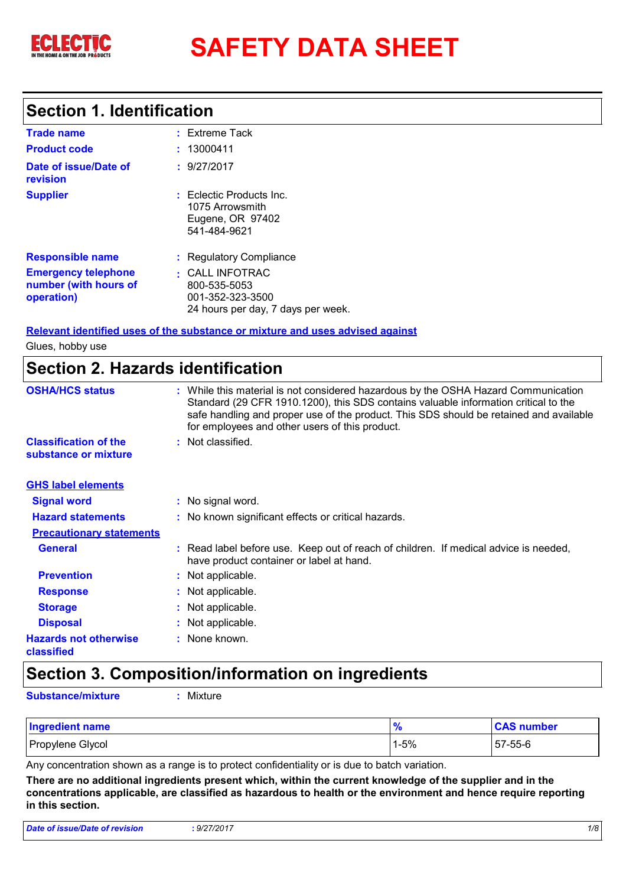

# **SAFETY DATA SHEET**

### **Section 1. Identification**

| <b>Trade name</b>                                                 | $:$ Extreme Tack                                                                          |
|-------------------------------------------------------------------|-------------------------------------------------------------------------------------------|
| <b>Product code</b>                                               | : 13000411                                                                                |
| Date of issue/Date of<br>revision                                 | : 9/27/2017                                                                               |
| <b>Supplier</b>                                                   | $:$ Eclectic Products Inc.<br>1075 Arrowsmith<br>Eugene, OR 97402<br>541-484-9621         |
| <b>Responsible name</b>                                           | : Regulatory Compliance                                                                   |
| <b>Emergency telephone</b><br>number (with hours of<br>operation) | : CALL INFOTRAC<br>800-535-5053<br>001-352-323-3500<br>24 hours per day, 7 days per week. |

#### **Relevant identified uses of the substance or mixture and uses advised against**

Glues, hobby use

### **Section 2. Hazards identification**

| <b>OSHA/HCS status</b>                               | : While this material is not considered hazardous by the OSHA Hazard Communication<br>Standard (29 CFR 1910.1200), this SDS contains valuable information critical to the<br>safe handling and proper use of the product. This SDS should be retained and available<br>for employees and other users of this product. |
|------------------------------------------------------|-----------------------------------------------------------------------------------------------------------------------------------------------------------------------------------------------------------------------------------------------------------------------------------------------------------------------|
| <b>Classification of the</b><br>substance or mixture | : Not classified.                                                                                                                                                                                                                                                                                                     |
| <b>GHS label elements</b>                            |                                                                                                                                                                                                                                                                                                                       |
| <b>Signal word</b>                                   | : No signal word.                                                                                                                                                                                                                                                                                                     |
| <b>Hazard statements</b>                             | : No known significant effects or critical hazards.                                                                                                                                                                                                                                                                   |
| <b>Precautionary statements</b>                      |                                                                                                                                                                                                                                                                                                                       |
| <b>General</b>                                       | : Read label before use. Keep out of reach of children. If medical advice is needed,<br>have product container or label at hand.                                                                                                                                                                                      |
| <b>Prevention</b>                                    | : Not applicable.                                                                                                                                                                                                                                                                                                     |
| <b>Response</b>                                      | : Not applicable.                                                                                                                                                                                                                                                                                                     |
| <b>Storage</b>                                       | : Not applicable.                                                                                                                                                                                                                                                                                                     |
| <b>Disposal</b>                                      | : Not applicable.                                                                                                                                                                                                                                                                                                     |
| <b>Hazards not otherwise</b><br>classified           | : None known.                                                                                                                                                                                                                                                                                                         |

### **Section 3. Composition/information on ingredients**

**Substance/mixture :** Mixture

| Ingredient name  | $\prime$ | <b>CAS number</b> |
|------------------|----------|-------------------|
| Propylene Glycol | 1-5%     | 57-55-6           |

Any concentration shown as a range is to protect confidentiality or is due to batch variation.

**There are no additional ingredients present which, within the current knowledge of the supplier and in the concentrations applicable, are classified as hazardous to health or the environment and hence require reporting in this section.**

| <b>Date of issue/Date of revision</b> | .9/27/2017 |  |
|---------------------------------------|------------|--|
|                                       |            |  |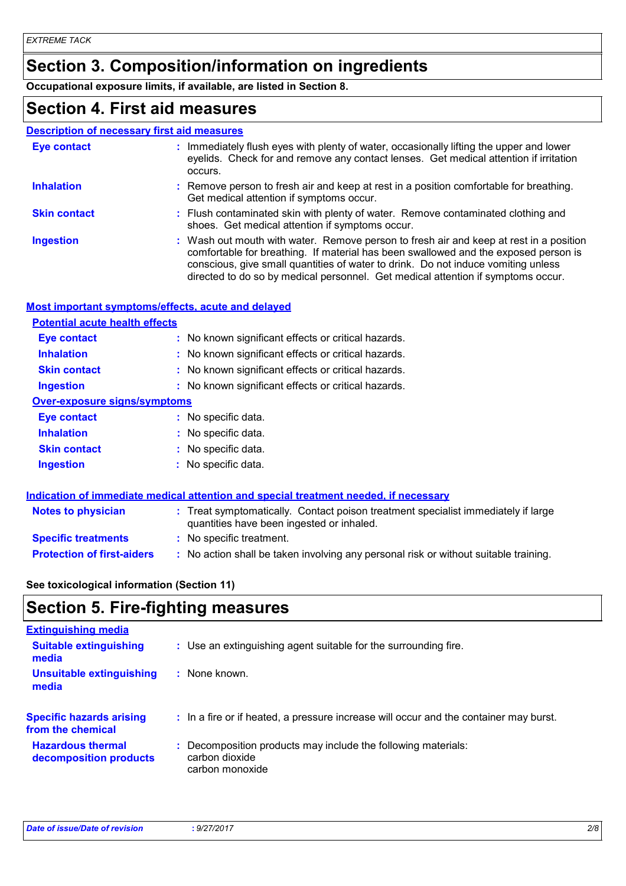# **Section 3. Composition/information on ingredients**

**Occupational exposure limits, if available, are listed in Section 8.**

### **Section 4. First aid measures**

|                     | <b>Description of necessary first aid measures</b>                                                                                                                                                                                                                                                                                                     |
|---------------------|--------------------------------------------------------------------------------------------------------------------------------------------------------------------------------------------------------------------------------------------------------------------------------------------------------------------------------------------------------|
| <b>Eye contact</b>  | : Immediately flush eyes with plenty of water, occasionally lifting the upper and lower<br>eyelids. Check for and remove any contact lenses. Get medical attention if irritation<br>occurs.                                                                                                                                                            |
| <b>Inhalation</b>   | : Remove person to fresh air and keep at rest in a position comfortable for breathing.<br>Get medical attention if symptoms occur.                                                                                                                                                                                                                     |
| <b>Skin contact</b> | : Flush contaminated skin with plenty of water. Remove contaminated clothing and<br>shoes. Get medical attention if symptoms occur.                                                                                                                                                                                                                    |
| <b>Ingestion</b>    | : Wash out mouth with water. Remove person to fresh air and keep at rest in a position<br>comfortable for breathing. If material has been swallowed and the exposed person is<br>conscious, give small quantities of water to drink. Do not induce vomiting unless<br>directed to do so by medical personnel. Get medical attention if symptoms occur. |

#### **Most important symptoms/effects, acute and delayed**

| <b>Potential acute health effects</b> |                                                                                     |  |
|---------------------------------------|-------------------------------------------------------------------------------------|--|
| Eye contact                           | : No known significant effects or critical hazards.                                 |  |
| <b>Inhalation</b>                     | : No known significant effects or critical hazards.                                 |  |
| <b>Skin contact</b>                   | : No known significant effects or critical hazards.                                 |  |
| <b>Ingestion</b>                      | : No known significant effects or critical hazards.                                 |  |
| <b>Over-exposure signs/symptoms</b>   |                                                                                     |  |
| Eye contact                           | : No specific data.                                                                 |  |
| <b>Inhalation</b>                     | : No specific data.                                                                 |  |
| <b>Skin contact</b>                   | : No specific data.                                                                 |  |
| <b>Ingestion</b>                      | : No specific data.                                                                 |  |
|                                       |                                                                                     |  |
|                                       | Indication of immediate medical attention and special treatment needed if necessary |  |

| <b>Notes to physician</b>         | <u>Martin of Millionial Montan alleged and any opening the american contact</u><br>: Treat symptomatically. Contact poison treatment specialist immediately if large<br>quantities have been ingested or inhaled. |
|-----------------------------------|-------------------------------------------------------------------------------------------------------------------------------------------------------------------------------------------------------------------|
| <b>Specific treatments</b>        | : No specific treatment.                                                                                                                                                                                          |
| <b>Protection of first-aiders</b> | : No action shall be taken involving any personal risk or without suitable training.                                                                                                                              |

#### **See toxicological information (Section 11)**

### **Section 5. Fire-fighting measures**

| <b>Extinguishing media</b>                           |                                                                                                  |
|------------------------------------------------------|--------------------------------------------------------------------------------------------------|
| <b>Suitable extinguishing</b><br>media               | : Use an extinguishing agent suitable for the surrounding fire.                                  |
| <b>Unsuitable extinguishing</b><br>media             | $:$ None known.                                                                                  |
| <b>Specific hazards arising</b><br>from the chemical | : In a fire or if heated, a pressure increase will occur and the container may burst.            |
| <b>Hazardous thermal</b><br>decomposition products   | Decomposition products may include the following materials:<br>carbon dioxide<br>carbon monoxide |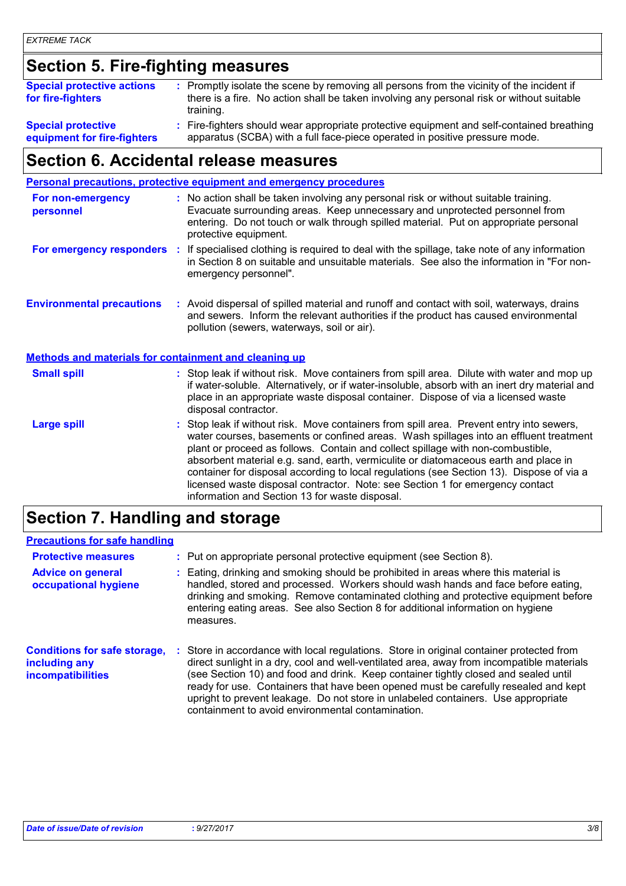# **Section 5. Fire-fighting measures**

| <b>Special protective actions</b><br>for fire-fighters   | : Promptly isolate the scene by removing all persons from the vicinity of the incident if<br>there is a fire. No action shall be taken involving any personal risk or without suitable<br>training. |
|----------------------------------------------------------|-----------------------------------------------------------------------------------------------------------------------------------------------------------------------------------------------------|
| <b>Special protective</b><br>equipment for fire-fighters | : Fire-fighters should wear appropriate protective equipment and self-contained breathing<br>apparatus (SCBA) with a full face-piece operated in positive pressure mode.                            |

### **equipment for fire-fighters**

# **Section 6. Accidental release measures**

|                                                              | Personal precautions, protective equipment and emergency procedures                                                                                                                                                                                                                                                                                                                                                                                                                                                                                                                      |
|--------------------------------------------------------------|------------------------------------------------------------------------------------------------------------------------------------------------------------------------------------------------------------------------------------------------------------------------------------------------------------------------------------------------------------------------------------------------------------------------------------------------------------------------------------------------------------------------------------------------------------------------------------------|
| For non-emergency<br>personnel                               | : No action shall be taken involving any personal risk or without suitable training.<br>Evacuate surrounding areas. Keep unnecessary and unprotected personnel from<br>entering. Do not touch or walk through spilled material. Put on appropriate personal<br>protective equipment.                                                                                                                                                                                                                                                                                                     |
| For emergency responders :                                   | If specialised clothing is required to deal with the spillage, take note of any information<br>in Section 8 on suitable and unsuitable materials. See also the information in "For non-<br>emergency personnel".                                                                                                                                                                                                                                                                                                                                                                         |
| <b>Environmental precautions</b>                             | : Avoid dispersal of spilled material and runoff and contact with soil, waterways, drains<br>and sewers. Inform the relevant authorities if the product has caused environmental<br>pollution (sewers, waterways, soil or air).                                                                                                                                                                                                                                                                                                                                                          |
| <b>Methods and materials for containment and cleaning up</b> |                                                                                                                                                                                                                                                                                                                                                                                                                                                                                                                                                                                          |
| <b>Small spill</b>                                           | : Stop leak if without risk. Move containers from spill area. Dilute with water and mop up<br>if water-soluble. Alternatively, or if water-insoluble, absorb with an inert dry material and<br>place in an appropriate waste disposal container. Dispose of via a licensed waste<br>disposal contractor.                                                                                                                                                                                                                                                                                 |
| <b>Large spill</b>                                           | Stop leak if without risk. Move containers from spill area. Prevent entry into sewers,<br>water courses, basements or confined areas. Wash spillages into an effluent treatment<br>plant or proceed as follows. Contain and collect spillage with non-combustible,<br>absorbent material e.g. sand, earth, vermiculite or diatomaceous earth and place in<br>container for disposal according to local regulations (see Section 13). Dispose of via a<br>licensed waste disposal contractor. Note: see Section 1 for emergency contact<br>information and Section 13 for waste disposal. |
|                                                              |                                                                                                                                                                                                                                                                                                                                                                                                                                                                                                                                                                                          |

### **Section 7. Handling and storage**

#### **Precautions for safe handling**

| <b>Protective measures</b><br><b>Advice on general</b><br>occupational hygiene   | : Put on appropriate personal protective equipment (see Section 8).<br>Eating, drinking and smoking should be prohibited in areas where this material is<br>handled, stored and processed. Workers should wash hands and face before eating,<br>drinking and smoking. Remove contaminated clothing and protective equipment before<br>entering eating areas. See also Section 8 for additional information on hygiene<br>measures.                                                                          |
|----------------------------------------------------------------------------------|-------------------------------------------------------------------------------------------------------------------------------------------------------------------------------------------------------------------------------------------------------------------------------------------------------------------------------------------------------------------------------------------------------------------------------------------------------------------------------------------------------------|
| <b>Conditions for safe storage,</b><br>including any<br><b>incompatibilities</b> | Store in accordance with local regulations. Store in original container protected from<br>direct sunlight in a dry, cool and well-ventilated area, away from incompatible materials<br>(see Section 10) and food and drink. Keep container tightly closed and sealed until<br>ready for use. Containers that have been opened must be carefully resealed and kept<br>upright to prevent leakage. Do not store in unlabeled containers. Use appropriate<br>containment to avoid environmental contamination. |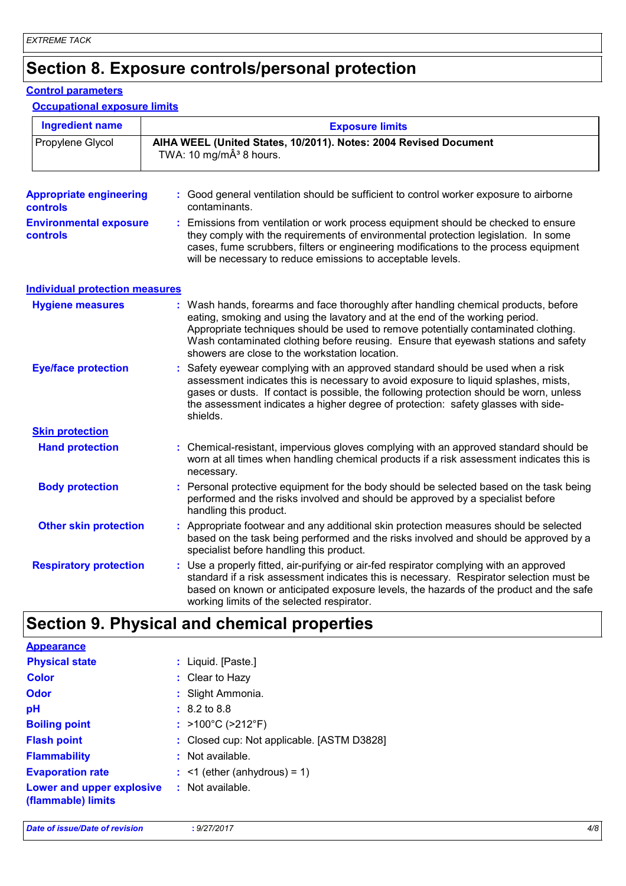# **Section 8. Exposure controls/personal protection**

#### **Control parameters**

#### **Occupational exposure limits**

| <b>Ingredient name</b>                            | <b>Exposure limits</b>                                                                                                                                                                                                                                                                                                                                                                            |
|---------------------------------------------------|---------------------------------------------------------------------------------------------------------------------------------------------------------------------------------------------------------------------------------------------------------------------------------------------------------------------------------------------------------------------------------------------------|
| Propylene Glycol                                  | AIHA WEEL (United States, 10/2011). Notes: 2004 Revised Document<br>TWA: 10 mg/m $\hat{A}^3$ 8 hours.                                                                                                                                                                                                                                                                                             |
| <b>Appropriate engineering</b><br><b>controls</b> | : Good general ventilation should be sufficient to control worker exposure to airborne<br>contaminants.                                                                                                                                                                                                                                                                                           |
| <b>Environmental exposure</b><br><b>controls</b>  | : Emissions from ventilation or work process equipment should be checked to ensure<br>they comply with the requirements of environmental protection legislation. In some<br>cases, fume scrubbers, filters or engineering modifications to the process equipment<br>will be necessary to reduce emissions to acceptable levels.                                                                   |
| <b>Individual protection measures</b>             |                                                                                                                                                                                                                                                                                                                                                                                                   |
| <b>Hygiene measures</b>                           | : Wash hands, forearms and face thoroughly after handling chemical products, before<br>eating, smoking and using the lavatory and at the end of the working period.<br>Appropriate techniques should be used to remove potentially contaminated clothing.<br>Wash contaminated clothing before reusing. Ensure that eyewash stations and safety<br>showers are close to the workstation location. |
| <b>Eye/face protection</b>                        | Safety eyewear complying with an approved standard should be used when a risk<br>assessment indicates this is necessary to avoid exposure to liquid splashes, mists,<br>gases or dusts. If contact is possible, the following protection should be worn, unless<br>the assessment indicates a higher degree of protection: safety glasses with side-<br>shields.                                  |
| <b>Skin protection</b>                            |                                                                                                                                                                                                                                                                                                                                                                                                   |
| <b>Hand protection</b>                            | : Chemical-resistant, impervious gloves complying with an approved standard should be<br>worn at all times when handling chemical products if a risk assessment indicates this is<br>necessary.                                                                                                                                                                                                   |
| <b>Body protection</b>                            | : Personal protective equipment for the body should be selected based on the task being<br>performed and the risks involved and should be approved by a specialist before<br>handling this product.                                                                                                                                                                                               |
| <b>Other skin protection</b>                      | : Appropriate footwear and any additional skin protection measures should be selected<br>based on the task being performed and the risks involved and should be approved by a<br>specialist before handling this product.                                                                                                                                                                         |
| <b>Respiratory protection</b>                     | Use a properly fitted, air-purifying or air-fed respirator complying with an approved<br>standard if a risk assessment indicates this is necessary. Respirator selection must be<br>based on known or anticipated exposure levels, the hazards of the product and the safe<br>working limits of the selected respirator.                                                                          |

# **Section 9. Physical and chemical properties**

| <b>Appearance</b>                               |                                            |
|-------------------------------------------------|--------------------------------------------|
| <b>Physical state</b>                           | : Liquid. [Paste.]                         |
| <b>Color</b>                                    | $:$ Clear to Hazy                          |
| <b>Odor</b>                                     | : Slight Ammonia.                          |
| pH                                              | $: 8.2 \text{ to } 8.8$                    |
| <b>Boiling point</b>                            | : $>100^{\circ}$ C ( $>212^{\circ}$ F)     |
| <b>Flash point</b>                              | : Closed cup: Not applicable. [ASTM D3828] |
| <b>Flammability</b>                             | $:$ Not available.                         |
| <b>Evaporation rate</b>                         | $:$ <1 (ether (anhydrous) = 1)             |
| Lower and upper explosive<br>(flammable) limits | : Not available.                           |
|                                                 |                                            |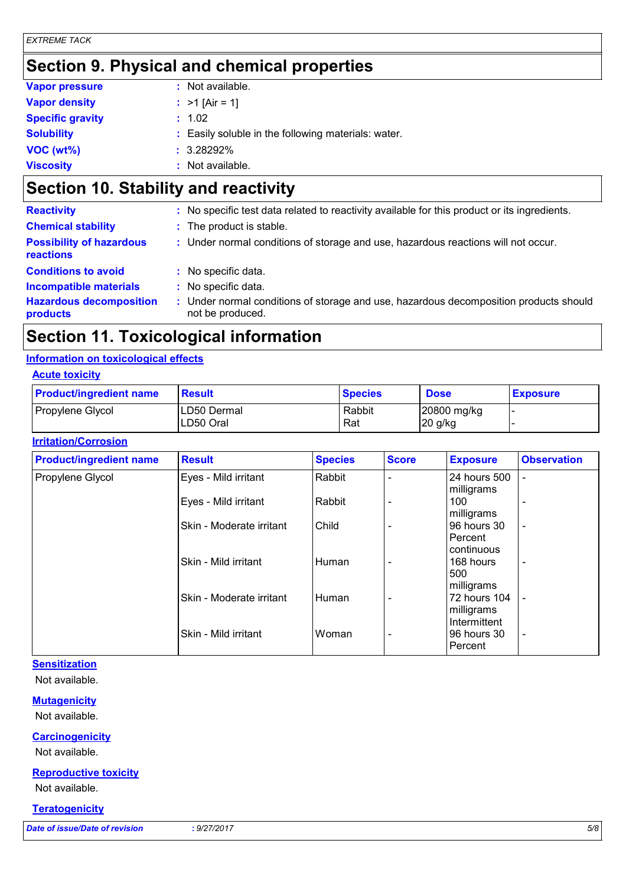# **Section 9. Physical and chemical properties**

| <b>Vapor pressure</b>   | $:$ Not available.                                  |
|-------------------------|-----------------------------------------------------|
| <b>Vapor density</b>    | : $>1$ [Air = 1]                                    |
| <b>Specific gravity</b> | : 1.02                                              |
| <b>Solubility</b>       | : Easily soluble in the following materials: water. |
| VOC(wt%)                | $: 3.28292\%$                                       |
| <b>Viscosity</b>        | : Not available.                                    |

# **Section 10. Stability and reactivity**

| : No specific test data related to reactivity available for this product or its ingredients.            |
|---------------------------------------------------------------------------------------------------------|
| : The product is stable.                                                                                |
| : Under normal conditions of storage and use, hazardous reactions will not occur.                       |
| : No specific data.                                                                                     |
| : No specific data.                                                                                     |
| Under normal conditions of storage and use, hazardous decomposition products should<br>not be produced. |
|                                                                                                         |

# **Section 11. Toxicological information**

#### **Information on toxicological effects**

#### **Acute toxicity**

| <b>Product/ingredient name</b> | Result                    | <b>Species</b> | <b>Dose</b>                          | <b>Exposure</b> |
|--------------------------------|---------------------------|----------------|--------------------------------------|-----------------|
| Propylene Glycol               | ILD50 Dermal<br>LD50 Oral | Rabbit<br>Rat  | $ 20800 \text{ mg/kg} $<br>$20$ g/kg |                 |

#### **Irritation/Corrosion**

| <b>Product/ingredient name</b> | <b>Result</b>            | <b>Species</b> | <b>Score</b>                 | <b>Exposure</b>        | <b>Observation</b>           |
|--------------------------------|--------------------------|----------------|------------------------------|------------------------|------------------------------|
| Propylene Glycol               | Eyes - Mild irritant     | Rabbit         |                              | 24 hours 500           | $\qquad \qquad \blacksquare$ |
|                                |                          |                |                              | milligrams             |                              |
|                                | Eyes - Mild irritant     | Rabbit         |                              | 100                    | $\overline{\phantom{a}}$     |
|                                |                          |                |                              | milligrams             |                              |
|                                | Skin - Moderate irritant | Child          |                              | 96 hours 30<br>Percent | $\overline{\phantom{a}}$     |
|                                |                          |                |                              | continuous             |                              |
|                                | Skin - Mild irritant     | Human          |                              | 168 hours              | $\overline{\phantom{a}}$     |
|                                |                          |                |                              | 500                    |                              |
|                                |                          |                |                              | milligrams             |                              |
|                                | Skin - Moderate irritant | Human          |                              | 72 hours 104           |                              |
|                                |                          |                |                              | milligrams             |                              |
|                                |                          |                |                              | Intermittent           |                              |
|                                | Skin - Mild irritant     | Woman          | $\qquad \qquad \blacksquare$ | 96 hours 30            | $\overline{\phantom{a}}$     |
|                                |                          |                |                              | Percent                |                              |

#### **Sensitization**

Not available.

#### **Mutagenicity**

Not available.

#### **Carcinogenicity**

Not available.

#### **Reproductive toxicity**

Not available.

#### **Teratogenicity**

*Date of issue/Date of revision* **:** *9/27/2017 5/8*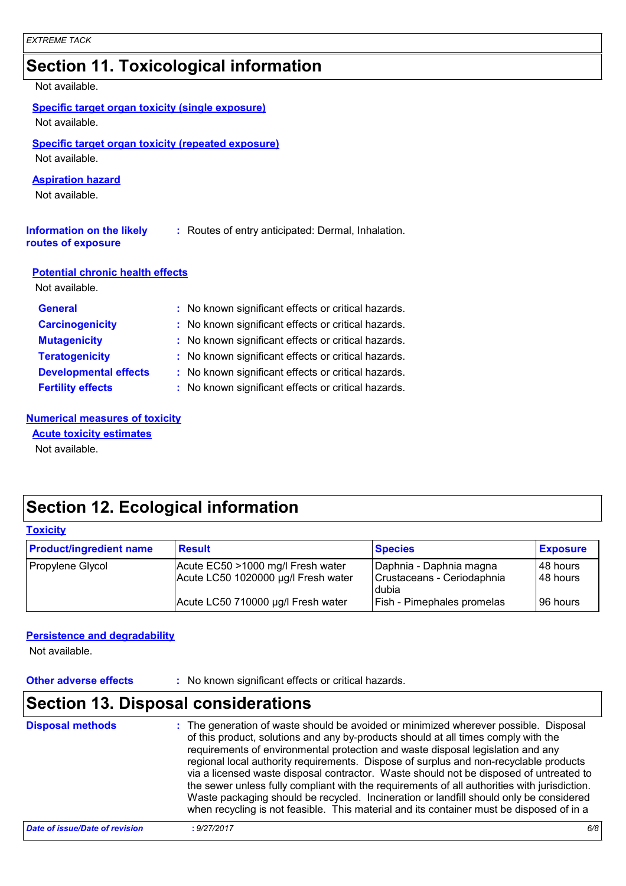# **Section 11. Toxicological information**

#### Not available.

|  |  |  | Specific target organ toxicity (single exposure) |
|--|--|--|--------------------------------------------------|
|--|--|--|--------------------------------------------------|

Not available.

### **Specific target organ toxicity (repeated exposure)**

Not available.

#### **Aspiration hazard**

Not available.

| Information on the likely | : Routes of entry anticipated: Dermal, Inhalation. |
|---------------------------|----------------------------------------------------|
| routes of exposure        |                                                    |

#### **Potential chronic health effects**

Not available.

| <b>General</b>               | : No known significant effects or critical hazards. |
|------------------------------|-----------------------------------------------------|
| <b>Carcinogenicity</b>       | : No known significant effects or critical hazards. |
| <b>Mutagenicity</b>          | : No known significant effects or critical hazards. |
| <b>Teratogenicity</b>        | : No known significant effects or critical hazards. |
| <b>Developmental effects</b> | : No known significant effects or critical hazards. |
| <b>Fertility effects</b>     | : No known significant effects or critical hazards. |

#### **Numerical measures of toxicity**

Not available. **Acute toxicity estimates**

### **Section 12. Ecological information**

| <b>Toxicity</b>                |                                                                          |                                                                |                        |  |
|--------------------------------|--------------------------------------------------------------------------|----------------------------------------------------------------|------------------------|--|
| <b>Product/ingredient name</b> | <b>Result</b>                                                            | <b>Species</b>                                                 | <b>Exposure</b>        |  |
| Propylene Glycol               | Acute EC50 >1000 mg/l Fresh water<br>Acute LC50 1020000 µg/l Fresh water | Daphnia - Daphnia magna<br>Crustaceans - Ceriodaphnia<br>dubia | 148 hours<br>148 hours |  |
|                                | Acute LC50 710000 µg/l Fresh water                                       | Fish - Pimephales promelas                                     | 196 hours              |  |

#### **Persistence and degradability**

Not available.

**Other adverse effects** : No known significant effects or critical hazards.

# **Section 13. Disposal considerations**

| <b>Disposal methods</b>        | : The generation of waste should be avoided or minimized wherever possible. Disposal<br>of this product, solutions and any by-products should at all times comply with the<br>requirements of environmental protection and waste disposal legislation and any<br>regional local authority requirements. Dispose of surplus and non-recyclable products<br>via a licensed waste disposal contractor. Waste should not be disposed of untreated to<br>the sewer unless fully compliant with the requirements of all authorities with jurisdiction.<br>Waste packaging should be recycled. Incineration or landfill should only be considered<br>when recycling is not feasible. This material and its container must be disposed of in a |  |
|--------------------------------|----------------------------------------------------------------------------------------------------------------------------------------------------------------------------------------------------------------------------------------------------------------------------------------------------------------------------------------------------------------------------------------------------------------------------------------------------------------------------------------------------------------------------------------------------------------------------------------------------------------------------------------------------------------------------------------------------------------------------------------|--|
| Date of issue/Date of revision | 6/8<br>: 9/27/2017                                                                                                                                                                                                                                                                                                                                                                                                                                                                                                                                                                                                                                                                                                                     |  |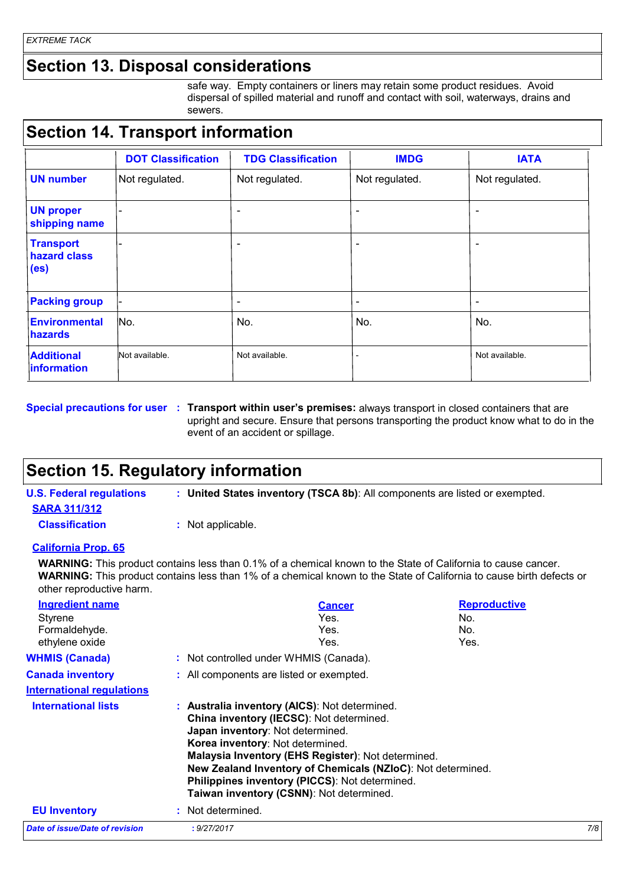### **Section 13. Disposal considerations**

safe way. Empty containers or liners may retain some product residues. Avoid dispersal of spilled material and runoff and contact with soil, waterways, drains and sewers.

### **Section 14. Transport information**

|                                                       | <b>DOT Classification</b> | <b>TDG Classification</b> | <b>IMDG</b>              | <b>IATA</b>    |
|-------------------------------------------------------|---------------------------|---------------------------|--------------------------|----------------|
| <b>UN number</b>                                      | Not regulated.            | Not regulated.            | Not regulated.           | Not regulated. |
| <b>UN proper</b><br>shipping name                     | -                         | $\overline{\phantom{a}}$  | $\overline{\phantom{a}}$ |                |
| <b>Transport</b><br>hazard class<br>(e <sub>s</sub> ) |                           | $\overline{\phantom{a}}$  | $\overline{\phantom{a}}$ |                |
| <b>Packing group</b>                                  | -                         | $\overline{\phantom{0}}$  | -                        | ۰              |
| <b>Environmental</b><br><b>hazards</b>                | No.                       | No.                       | No.                      | No.            |
| <b>Additional</b><br><b>Information</b>               | Not available.            | Not available.            |                          | Not available. |

**Special precautions for user** : Transport within user's premises: always transport in closed containers that are upright and secure. Ensure that persons transporting the product know what to do in the event of an accident or spillage.

### **Section 15. Regulatory information**

**U.S. Federal regulations : United States inventory (TSCA 8b)**: All components are listed or exempted. **SARA 311/312 Classification :** Not applicable.

#### **California Prop. 65**

**WARNING:** This product contains less than 0.1% of a chemical known to the State of California to cause cancer. **WARNING:** This product contains less than 1% of a chemical known to the State of California to cause birth defects or other reproductive harm.

| Ingredient name                       | <b>Cancer</b>                                                                                                                                                                                                                                                                                                                                                                        | <b>Reproductive</b> |  |
|---------------------------------------|--------------------------------------------------------------------------------------------------------------------------------------------------------------------------------------------------------------------------------------------------------------------------------------------------------------------------------------------------------------------------------------|---------------------|--|
| Styrene                               | Yes.                                                                                                                                                                                                                                                                                                                                                                                 | No.                 |  |
| Formaldehyde.                         | Yes.                                                                                                                                                                                                                                                                                                                                                                                 | No.                 |  |
| ethylene oxide                        | Yes.                                                                                                                                                                                                                                                                                                                                                                                 | Yes.                |  |
| <b>WHMIS (Canada)</b>                 | : Not controlled under WHMIS (Canada).                                                                                                                                                                                                                                                                                                                                               |                     |  |
| <b>Canada inventory</b>               | : All components are listed or exempted.                                                                                                                                                                                                                                                                                                                                             |                     |  |
| <b>International regulations</b>      |                                                                                                                                                                                                                                                                                                                                                                                      |                     |  |
| <b>International lists</b>            | : Australia inventory (AICS): Not determined.<br>China inventory (IECSC): Not determined.<br>Japan inventory: Not determined.<br>Korea inventory: Not determined.<br>Malaysia Inventory (EHS Register): Not determined.<br>New Zealand Inventory of Chemicals (NZIoC): Not determined.<br>Philippines inventory (PICCS): Not determined.<br>Taiwan inventory (CSNN): Not determined. |                     |  |
| <b>EU Inventory</b>                   | : Not determined.                                                                                                                                                                                                                                                                                                                                                                    |                     |  |
| <b>Date of issue/Date of revision</b> | : 9/27/2017                                                                                                                                                                                                                                                                                                                                                                          | 7/8                 |  |